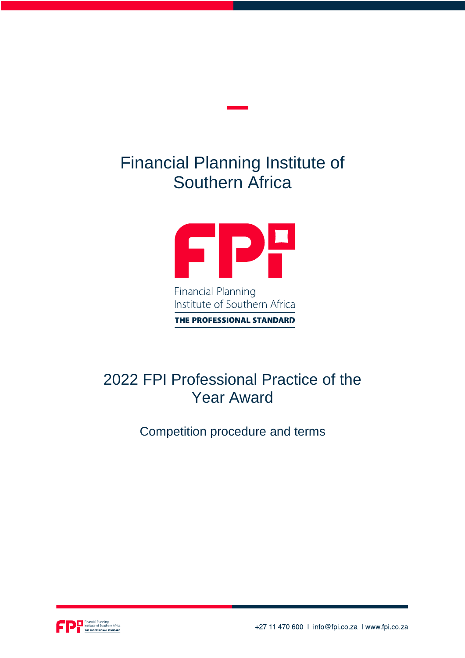# Financial Planning Institute of Southern Africa



Institute of Southern Africa THE PROFESSIONAL STANDARD

## 2022 FPI Professional Practice of the Year Award

Competition procedure and terms



+27 11 470 600 | info@fpi.co.za | www.fpi.co.za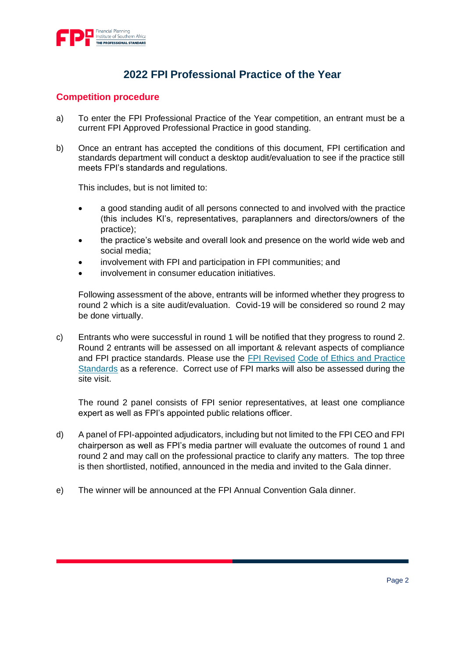

## **2022 FPI Professional Practice of the Year**

#### **Competition procedure**

- a) To enter the FPI Professional Practice of the Year competition, an entrant must be a current FPI Approved Professional Practice in good standing.
- b) Once an entrant has accepted the conditions of this document, FPI certification and standards department will conduct a desktop audit/evaluation to see if the practice still meets FPI's standards and regulations.

This includes, but is not limited to:

- a good standing audit of all persons connected to and involved with the practice (this includes KI's, representatives, paraplanners and directors/owners of the practice);
- the practice's website and overall look and presence on the world wide web and social media;
- involvement with FPI and participation in FPI communities; and
- involvement in consumer education initiatives.

Following assessment of the above, entrants will be informed whether they progress to round 2 which is a site audit/evaluation. Covid-19 will be considered so round 2 may be done virtually.

c) Entrants who were successful in round 1 will be notified that they progress to round 2. Round 2 entrants will be assessed on all important & relevant aspects of compliance and FPI practice standards. Please use the [FPI Revised](https://www.fpi.co.za/documents/Code%20of%20Ethics%20and%20Practice%20Standards.pdf) [Code of Ethics and Practice](https://www.fpi.co.za/documents/Code%20of%20Ethics%20and%20Practice%20Standards.pdf)  [Standards](https://www.fpi.co.za/documents/Code%20of%20Ethics%20and%20Practice%20Standards.pdf) as a reference. Correct use of FPI marks will also be assessed during the site visit.

The round 2 panel consists of FPI senior representatives, at least one compliance expert as well as FPI's appointed public relations officer.

- d) A panel of FPI-appointed adjudicators, including but not limited to the FPI CEO and FPI chairperson as well as FPI's media partner will evaluate the outcomes of round 1 and round 2 and may call on the professional practice to clarify any matters. The top three is then shortlisted, notified, announced in the media and invited to the Gala dinner.
- e) The winner will be announced at the FPI Annual Convention Gala dinner.